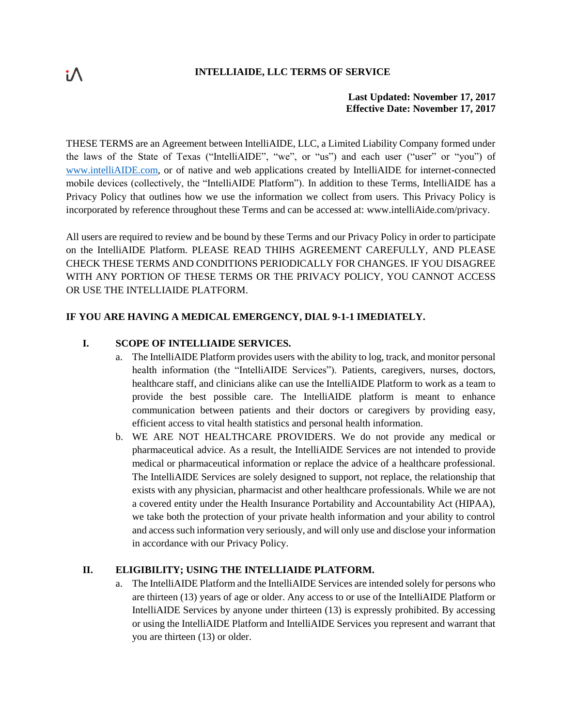## **INTELLIAIDE, LLC TERMS OF SERVICE**

# **Last Updated: November 17, 2017 Effective Date: November 17, 2017**

THESE TERMS are an Agreement between IntelliAIDE, LLC, a Limited Liability Company formed under the laws of the State of Texas ("IntelliAIDE", "we", or "us") and each user ("user" or "you") of [www.intelliAIDE.com,](http://www.intelliaide.com/) or of native and web applications created by IntelliAIDE for internet-connected mobile devices (collectively, the "IntelliAIDE Platform"). In addition to these Terms, IntelliAIDE has a Privacy Policy that outlines how we use the information we collect from users. This Privacy Policy is incorporated by reference throughout these Terms and can be accessed at: www.intelliAide.com/privacy.

All users are required to review and be bound by these Terms and our Privacy Policy in order to participate on the IntelliAIDE Platform. PLEASE READ THIHS AGREEMENT CAREFULLY, AND PLEASE CHECK THESE TERMS AND CONDITIONS PERIODICALLY FOR CHANGES. IF YOU DISAGREE WITH ANY PORTION OF THESE TERMS OR THE PRIVACY POLICY, YOU CANNOT ACCESS OR USE THE INTELLIAIDE PLATFORM.

# **IF YOU ARE HAVING A MEDICAL EMERGENCY, DIAL 9-1-1 IMEDIATELY.**

# **I. SCOPE OF INTELLIAIDE SERVICES.**

- a. The IntelliAIDE Platform provides users with the ability to log, track, and monitor personal health information (the "IntelliAIDE Services"). Patients, caregivers, nurses, doctors, healthcare staff, and clinicians alike can use the IntelliAIDE Platform to work as a team to provide the best possible care. The IntelliAIDE platform is meant to enhance communication between patients and their doctors or caregivers by providing easy, efficient access to vital health statistics and personal health information.
- b. WE ARE NOT HEALTHCARE PROVIDERS. We do not provide any medical or pharmaceutical advice. As a result, the IntelliAIDE Services are not intended to provide medical or pharmaceutical information or replace the advice of a healthcare professional. The IntelliAIDE Services are solely designed to support, not replace, the relationship that exists with any physician, pharmacist and other healthcare professionals. While we are not a covered entity under the Health Insurance Portability and Accountability Act (HIPAA), we take both the protection of your private health information and your ability to control and access such information very seriously, and will only use and disclose your information in accordance with our Privacy Policy.

# **II. ELIGIBILITY; USING THE INTELLIAIDE PLATFORM.**

a. The IntelliAIDE Platform and the IntelliAIDE Services are intended solely for persons who are thirteen (13) years of age or older. Any access to or use of the IntelliAIDE Platform or IntelliAIDE Services by anyone under thirteen (13) is expressly prohibited. By accessing or using the IntelliAIDE Platform and IntelliAIDE Services you represent and warrant that you are thirteen (13) or older.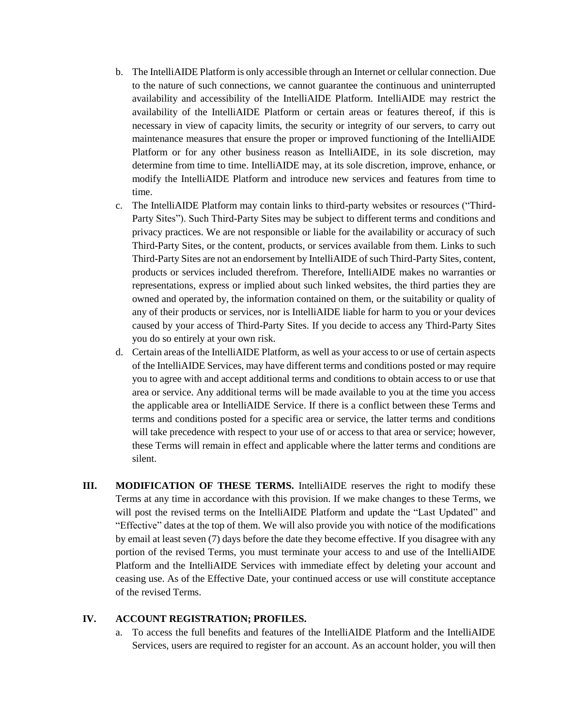- b. The IntelliAIDE Platform is only accessible through an Internet or cellular connection. Due to the nature of such connections, we cannot guarantee the continuous and uninterrupted availability and accessibility of the IntelliAIDE Platform. IntelliAIDE may restrict the availability of the IntelliAIDE Platform or certain areas or features thereof, if this is necessary in view of capacity limits, the security or integrity of our servers, to carry out maintenance measures that ensure the proper or improved functioning of the IntelliAIDE Platform or for any other business reason as IntelliAIDE, in its sole discretion, may determine from time to time. IntelliAIDE may, at its sole discretion, improve, enhance, or modify the IntelliAIDE Platform and introduce new services and features from time to time.
- c. The IntelliAIDE Platform may contain links to third-party websites or resources ("Third-Party Sites"). Such Third-Party Sites may be subject to different terms and conditions and privacy practices. We are not responsible or liable for the availability or accuracy of such Third-Party Sites, or the content, products, or services available from them. Links to such Third-Party Sites are not an endorsement by IntelliAIDE of such Third-Party Sites, content, products or services included therefrom. Therefore, IntelliAIDE makes no warranties or representations, express or implied about such linked websites, the third parties they are owned and operated by, the information contained on them, or the suitability or quality of any of their products or services, nor is IntelliAIDE liable for harm to you or your devices caused by your access of Third-Party Sites. If you decide to access any Third-Party Sites you do so entirely at your own risk.
- d. Certain areas of the IntelliAIDE Platform, as well as your access to or use of certain aspects of the IntelliAIDE Services, may have different terms and conditions posted or may require you to agree with and accept additional terms and conditions to obtain access to or use that area or service. Any additional terms will be made available to you at the time you access the applicable area or IntelliAIDE Service. If there is a conflict between these Terms and terms and conditions posted for a specific area or service, the latter terms and conditions will take precedence with respect to your use of or access to that area or service; however, these Terms will remain in effect and applicable where the latter terms and conditions are silent.
- **III. MODIFICATION OF THESE TERMS.** IntelliAIDE reserves the right to modify these Terms at any time in accordance with this provision. If we make changes to these Terms, we will post the revised terms on the IntelliAIDE Platform and update the "Last Updated" and "Effective" dates at the top of them. We will also provide you with notice of the modifications by email at least seven (7) days before the date they become effective. If you disagree with any portion of the revised Terms, you must terminate your access to and use of the IntelliAIDE Platform and the IntelliAIDE Services with immediate effect by deleting your account and ceasing use. As of the Effective Date, your continued access or use will constitute acceptance of the revised Terms.

#### **IV. ACCOUNT REGISTRATION; PROFILES.**

a. To access the full benefits and features of the IntelliAIDE Platform and the IntelliAIDE Services, users are required to register for an account. As an account holder, you will then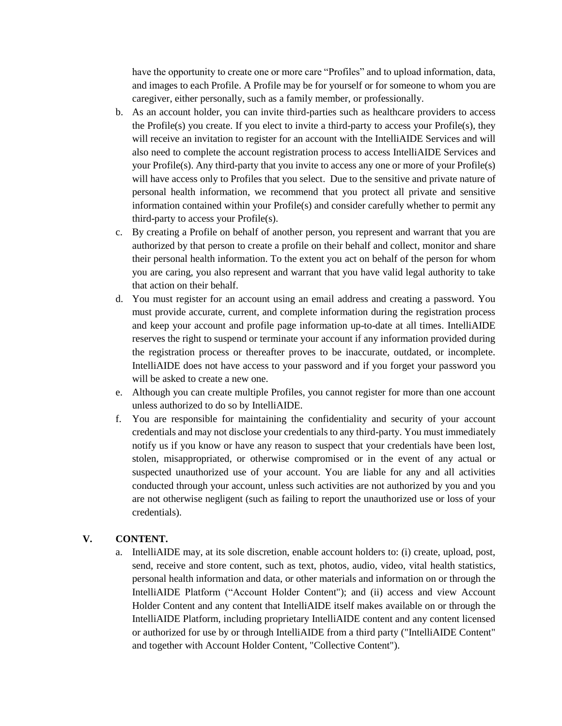have the opportunity to create one or more care "Profiles" and to upload information, data, and images to each Profile. A Profile may be for yourself or for someone to whom you are caregiver, either personally, such as a family member, or professionally.

- b. As an account holder, you can invite third-parties such as healthcare providers to access the Profile(s) you create. If you elect to invite a third-party to access your Profile(s), they will receive an invitation to register for an account with the IntelliAIDE Services and will also need to complete the account registration process to access IntelliAIDE Services and your Profile(s). Any third-party that you invite to access any one or more of your Profile(s) will have access only to Profiles that you select. Due to the sensitive and private nature of personal health information, we recommend that you protect all private and sensitive information contained within your Profile(s) and consider carefully whether to permit any third-party to access your Profile(s).
- c. By creating a Profile on behalf of another person, you represent and warrant that you are authorized by that person to create a profile on their behalf and collect, monitor and share their personal health information. To the extent you act on behalf of the person for whom you are caring, you also represent and warrant that you have valid legal authority to take that action on their behalf.
- d. You must register for an account using an email address and creating a password. You must provide accurate, current, and complete information during the registration process and keep your account and profile page information up-to-date at all times. IntelliAIDE reserves the right to suspend or terminate your account if any information provided during the registration process or thereafter proves to be inaccurate, outdated, or incomplete. IntelliAIDE does not have access to your password and if you forget your password you will be asked to create a new one.
- e. Although you can create multiple Profiles, you cannot register for more than one account unless authorized to do so by IntelliAIDE.
- f. You are responsible for maintaining the confidentiality and security of your account credentials and may not disclose your credentials to any third-party. You must immediately notify us if you know or have any reason to suspect that your credentials have been lost, stolen, misappropriated, or otherwise compromised or in the event of any actual or suspected unauthorized use of your account. You are liable for any and all activities conducted through your account, unless such activities are not authorized by you and you are not otherwise negligent (such as failing to report the unauthorized use or loss of your credentials).

### **V. CONTENT.**

a. IntelliAIDE may, at its sole discretion, enable account holders to: (i) create, upload, post, send, receive and store content, such as text, photos, audio, video, vital health statistics, personal health information and data, or other materials and information on or through the IntelliAIDE Platform ("Account Holder Content"); and (ii) access and view Account Holder Content and any content that IntelliAIDE itself makes available on or through the IntelliAIDE Platform, including proprietary IntelliAIDE content and any content licensed or authorized for use by or through IntelliAIDE from a third party ("IntelliAIDE Content" and together with Account Holder Content, "Collective Content").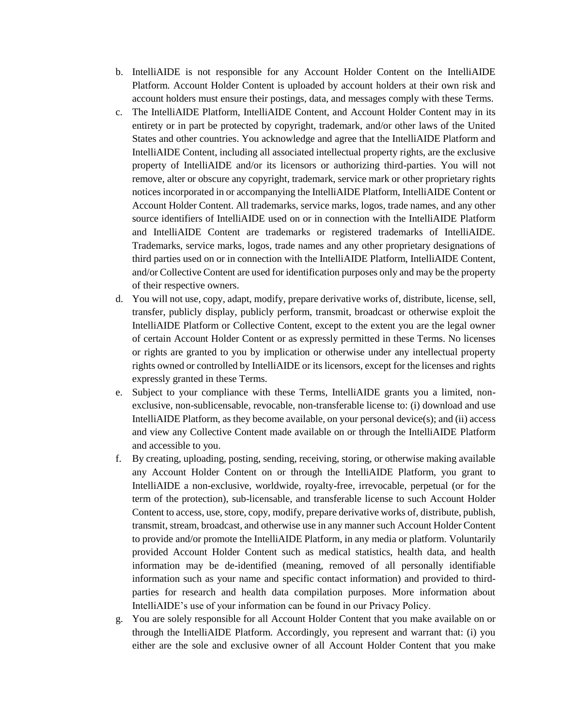- b. IntelliAIDE is not responsible for any Account Holder Content on the IntelliAIDE Platform. Account Holder Content is uploaded by account holders at their own risk and account holders must ensure their postings, data, and messages comply with these Terms.
- c. The IntelliAIDE Platform, IntelliAIDE Content, and Account Holder Content may in its entirety or in part be protected by copyright, trademark, and/or other laws of the United States and other countries. You acknowledge and agree that the IntelliAIDE Platform and IntelliAIDE Content, including all associated intellectual property rights, are the exclusive property of IntelliAIDE and/or its licensors or authorizing third-parties. You will not remove, alter or obscure any copyright, trademark, service mark or other proprietary rights notices incorporated in or accompanying the IntelliAIDE Platform, IntelliAIDE Content or Account Holder Content. All trademarks, service marks, logos, trade names, and any other source identifiers of IntelliAIDE used on or in connection with the IntelliAIDE Platform and IntelliAIDE Content are trademarks or registered trademarks of IntelliAIDE. Trademarks, service marks, logos, trade names and any other proprietary designations of third parties used on or in connection with the IntelliAIDE Platform, IntelliAIDE Content, and/or Collective Content are used for identification purposes only and may be the property of their respective owners.
- d. You will not use, copy, adapt, modify, prepare derivative works of, distribute, license, sell, transfer, publicly display, publicly perform, transmit, broadcast or otherwise exploit the IntelliAIDE Platform or Collective Content, except to the extent you are the legal owner of certain Account Holder Content or as expressly permitted in these Terms. No licenses or rights are granted to you by implication or otherwise under any intellectual property rights owned or controlled by IntelliAIDE or its licensors, except for the licenses and rights expressly granted in these Terms.
- e. Subject to your compliance with these Terms, IntelliAIDE grants you a limited, nonexclusive, non-sublicensable, revocable, non-transferable license to: (i) download and use IntelliAIDE Platform, as they become available, on your personal device(s); and (ii) access and view any Collective Content made available on or through the IntelliAIDE Platform and accessible to you.
- f. By creating, uploading, posting, sending, receiving, storing, or otherwise making available any Account Holder Content on or through the IntelliAIDE Platform, you grant to IntelliAIDE a non-exclusive, worldwide, royalty-free, irrevocable, perpetual (or for the term of the protection), sub-licensable, and transferable license to such Account Holder Content to access, use, store, copy, modify, prepare derivative works of, distribute, publish, transmit, stream, broadcast, and otherwise use in any manner such Account Holder Content to provide and/or promote the IntelliAIDE Platform, in any media or platform. Voluntarily provided Account Holder Content such as medical statistics, health data, and health information may be de-identified (meaning, removed of all personally identifiable information such as your name and specific contact information) and provided to thirdparties for research and health data compilation purposes. More information about IntelliAIDE's use of your information can be found in our Privacy Policy.
- g. You are solely responsible for all Account Holder Content that you make available on or through the IntelliAIDE Platform. Accordingly, you represent and warrant that: (i) you either are the sole and exclusive owner of all Account Holder Content that you make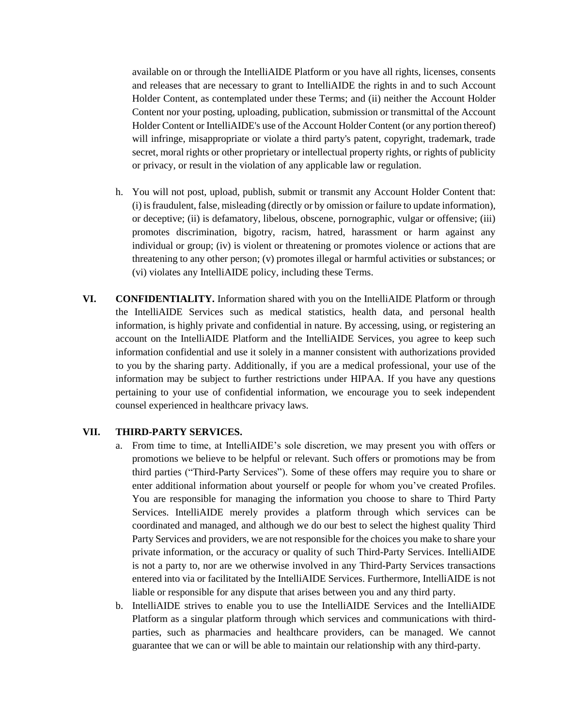available on or through the IntelliAIDE Platform or you have all rights, licenses, consents and releases that are necessary to grant to IntelliAIDE the rights in and to such Account Holder Content, as contemplated under these Terms; and (ii) neither the Account Holder Content nor your posting, uploading, publication, submission or transmittal of the Account Holder Content or IntelliAIDE's use of the Account Holder Content (or any portion thereof) will infringe, misappropriate or violate a third party's patent, copyright, trademark, trade secret, moral rights or other proprietary or intellectual property rights, or rights of publicity or privacy, or result in the violation of any applicable law or regulation.

- h. You will not post, upload, publish, submit or transmit any Account Holder Content that: (i) is fraudulent, false, misleading (directly or by omission or failure to update information), or deceptive; (ii) is defamatory, libelous, obscene, pornographic, vulgar or offensive; (iii) promotes discrimination, bigotry, racism, hatred, harassment or harm against any individual or group; (iv) is violent or threatening or promotes violence or actions that are threatening to any other person; (v) promotes illegal or harmful activities or substances; or (vi) violates any IntelliAIDE policy, including these Terms.
- **VI. CONFIDENTIALITY.** Information shared with you on the IntelliAIDE Platform or through the IntelliAIDE Services such as medical statistics, health data, and personal health information, is highly private and confidential in nature. By accessing, using, or registering an account on the IntelliAIDE Platform and the IntelliAIDE Services, you agree to keep such information confidential and use it solely in a manner consistent with authorizations provided to you by the sharing party. Additionally, if you are a medical professional, your use of the information may be subject to further restrictions under HIPAA. If you have any questions pertaining to your use of confidential information, we encourage you to seek independent counsel experienced in healthcare privacy laws.

#### **VII. THIRD-PARTY SERVICES.**

- a. From time to time, at IntelliAIDE's sole discretion, we may present you with offers or promotions we believe to be helpful or relevant. Such offers or promotions may be from third parties ("Third-Party Services"). Some of these offers may require you to share or enter additional information about yourself or people for whom you've created Profiles. You are responsible for managing the information you choose to share to Third Party Services. IntelliAIDE merely provides a platform through which services can be coordinated and managed, and although we do our best to select the highest quality Third Party Services and providers, we are not responsible for the choices you make to share your private information, or the accuracy or quality of such Third-Party Services. IntelliAIDE is not a party to, nor are we otherwise involved in any Third-Party Services transactions entered into via or facilitated by the IntelliAIDE Services. Furthermore, IntelliAIDE is not liable or responsible for any dispute that arises between you and any third party.
- b. IntelliAIDE strives to enable you to use the IntelliAIDE Services and the IntelliAIDE Platform as a singular platform through which services and communications with thirdparties, such as pharmacies and healthcare providers, can be managed. We cannot guarantee that we can or will be able to maintain our relationship with any third-party.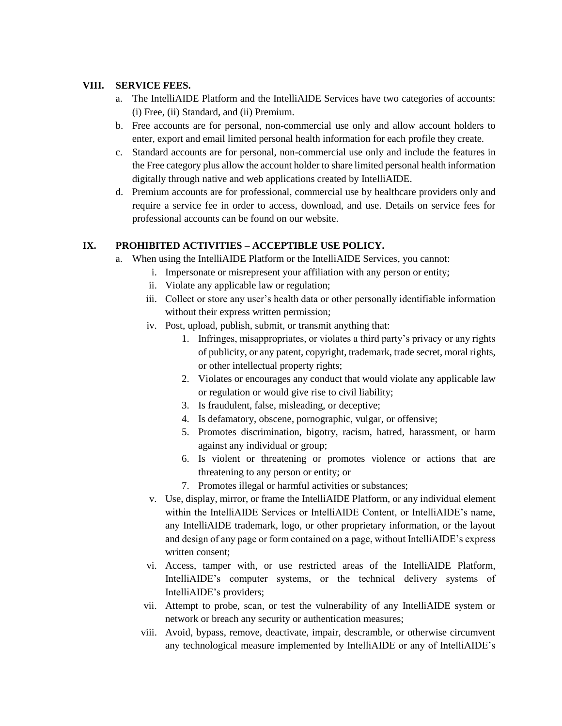## **VIII. SERVICE FEES.**

- a. The IntelliAIDE Platform and the IntelliAIDE Services have two categories of accounts: (i) Free, (ii) Standard, and (ii) Premium.
- b. Free accounts are for personal, non-commercial use only and allow account holders to enter, export and email limited personal health information for each profile they create.
- c. Standard accounts are for personal, non-commercial use only and include the features in the Free category plus allow the account holder to share limited personal health information digitally through native and web applications created by IntelliAIDE.
- d. Premium accounts are for professional, commercial use by healthcare providers only and require a service fee in order to access, download, and use. Details on service fees for professional accounts can be found on our website.

# **IX. PROHIBITED ACTIVITIES – ACCEPTIBLE USE POLICY.**

- a. When using the IntelliAIDE Platform or the IntelliAIDE Services, you cannot:
	- i. Impersonate or misrepresent your affiliation with any person or entity;
	- ii. Violate any applicable law or regulation;
	- iii. Collect or store any user's health data or other personally identifiable information without their express written permission;
	- iv. Post, upload, publish, submit, or transmit anything that:
		- 1. Infringes, misappropriates, or violates a third party's privacy or any rights of publicity, or any patent, copyright, trademark, trade secret, moral rights, or other intellectual property rights;
		- 2. Violates or encourages any conduct that would violate any applicable law or regulation or would give rise to civil liability;
		- 3. Is fraudulent, false, misleading, or deceptive;
		- 4. Is defamatory, obscene, pornographic, vulgar, or offensive;
		- 5. Promotes discrimination, bigotry, racism, hatred, harassment, or harm against any individual or group;
		- 6. Is violent or threatening or promotes violence or actions that are threatening to any person or entity; or
		- 7. Promotes illegal or harmful activities or substances;
	- v. Use, display, mirror, or frame the IntelliAIDE Platform, or any individual element within the IntelliAIDE Services or IntelliAIDE Content, or IntelliAIDE's name, any IntelliAIDE trademark, logo, or other proprietary information, or the layout and design of any page or form contained on a page, without IntelliAIDE's express written consent;
	- vi. Access, tamper with, or use restricted areas of the IntelliAIDE Platform, IntelliAIDE's computer systems, or the technical delivery systems of IntelliAIDE's providers;
	- vii. Attempt to probe, scan, or test the vulnerability of any IntelliAIDE system or network or breach any security or authentication measures;
	- viii. Avoid, bypass, remove, deactivate, impair, descramble, or otherwise circumvent any technological measure implemented by IntelliAIDE or any of IntelliAIDE's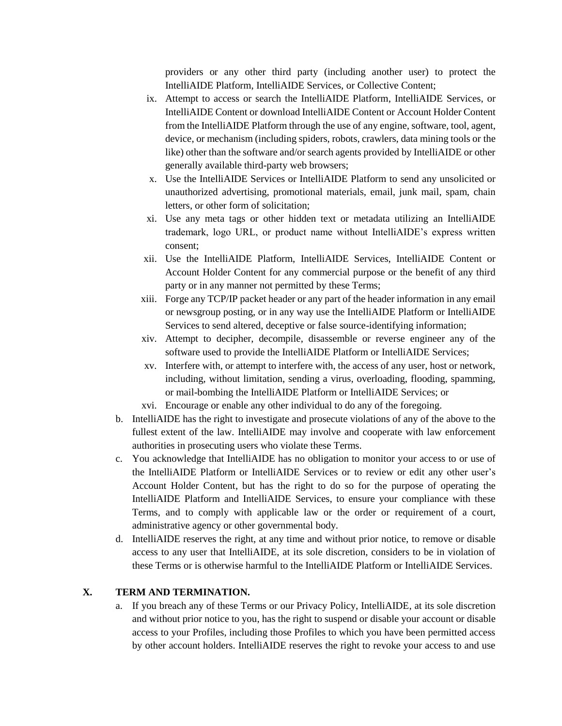providers or any other third party (including another user) to protect the IntelliAIDE Platform, IntelliAIDE Services, or Collective Content;

- ix. Attempt to access or search the IntelliAIDE Platform, IntelliAIDE Services, or IntelliAIDE Content or download IntelliAIDE Content or Account Holder Content from the IntelliAIDE Platform through the use of any engine, software, tool, agent, device, or mechanism (including spiders, robots, crawlers, data mining tools or the like) other than the software and/or search agents provided by IntelliAIDE or other generally available third-party web browsers;
- x. Use the IntelliAIDE Services or IntelliAIDE Platform to send any unsolicited or unauthorized advertising, promotional materials, email, junk mail, spam, chain letters, or other form of solicitation;
- xi. Use any meta tags or other hidden text or metadata utilizing an IntelliAIDE trademark, logo URL, or product name without IntelliAIDE's express written consent;
- xii. Use the IntelliAIDE Platform, IntelliAIDE Services, IntelliAIDE Content or Account Holder Content for any commercial purpose or the benefit of any third party or in any manner not permitted by these Terms;
- xiii. Forge any TCP/IP packet header or any part of the header information in any email or newsgroup posting, or in any way use the IntelliAIDE Platform or IntelliAIDE Services to send altered, deceptive or false source-identifying information;
- xiv. Attempt to decipher, decompile, disassemble or reverse engineer any of the software used to provide the IntelliAIDE Platform or IntelliAIDE Services;
- xv. Interfere with, or attempt to interfere with, the access of any user, host or network, including, without limitation, sending a virus, overloading, flooding, spamming, or mail-bombing the IntelliAIDE Platform or IntelliAIDE Services; or
- xvi. Encourage or enable any other individual to do any of the foregoing.
- b. IntelliAIDE has the right to investigate and prosecute violations of any of the above to the fullest extent of the law. IntelliAIDE may involve and cooperate with law enforcement authorities in prosecuting users who violate these Terms.
- c. You acknowledge that IntelliAIDE has no obligation to monitor your access to or use of the IntelliAIDE Platform or IntelliAIDE Services or to review or edit any other user's Account Holder Content, but has the right to do so for the purpose of operating the IntelliAIDE Platform and IntelliAIDE Services, to ensure your compliance with these Terms, and to comply with applicable law or the order or requirement of a court, administrative agency or other governmental body.
- d. IntelliAIDE reserves the right, at any time and without prior notice, to remove or disable access to any user that IntelliAIDE, at its sole discretion, considers to be in violation of these Terms or is otherwise harmful to the IntelliAIDE Platform or IntelliAIDE Services.

# **X. TERM AND TERMINATION.**

a. If you breach any of these Terms or our Privacy Policy, IntelliAIDE, at its sole discretion and without prior notice to you, has the right to suspend or disable your account or disable access to your Profiles, including those Profiles to which you have been permitted access by other account holders. IntelliAIDE reserves the right to revoke your access to and use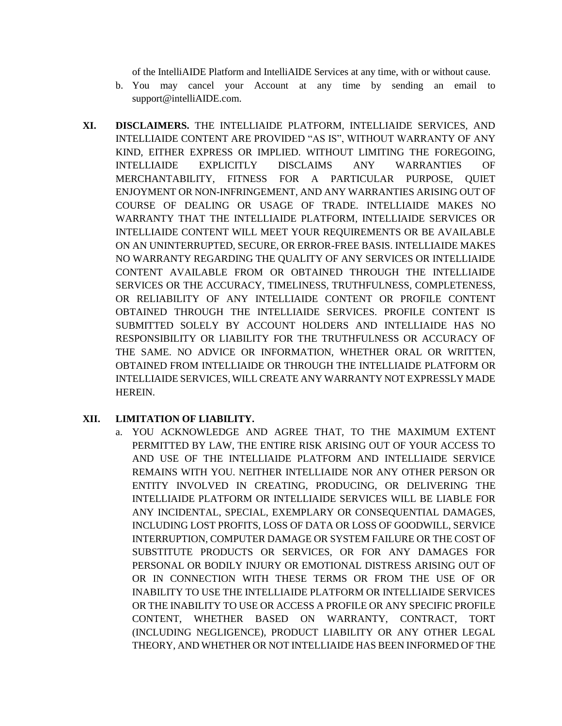of the IntelliAIDE Platform and IntelliAIDE Services at any time, with or without cause.

- b. You may cancel your Account at any time by sending an email to support@intelliAIDE.com.
- **XI. DISCLAIMERS.** THE INTELLIAIDE PLATFORM, INTELLIAIDE SERVICES, AND INTELLIAIDE CONTENT ARE PROVIDED "AS IS", WITHOUT WARRANTY OF ANY KIND, EITHER EXPRESS OR IMPLIED. WITHOUT LIMITING THE FOREGOING, INTELLIAIDE EXPLICITLY DISCLAIMS ANY WARRANTIES OF MERCHANTABILITY, FITNESS FOR A PARTICULAR PURPOSE, QUIET ENJOYMENT OR NON-INFRINGEMENT, AND ANY WARRANTIES ARISING OUT OF COURSE OF DEALING OR USAGE OF TRADE. INTELLIAIDE MAKES NO WARRANTY THAT THE INTELLIAIDE PLATFORM, INTELLIAIDE SERVICES OR INTELLIAIDE CONTENT WILL MEET YOUR REQUIREMENTS OR BE AVAILABLE ON AN UNINTERRUPTED, SECURE, OR ERROR-FREE BASIS. INTELLIAIDE MAKES NO WARRANTY REGARDING THE QUALITY OF ANY SERVICES OR INTELLIAIDE CONTENT AVAILABLE FROM OR OBTAINED THROUGH THE INTELLIAIDE SERVICES OR THE ACCURACY, TIMELINESS, TRUTHFULNESS, COMPLETENESS, OR RELIABILITY OF ANY INTELLIAIDE CONTENT OR PROFILE CONTENT OBTAINED THROUGH THE INTELLIAIDE SERVICES. PROFILE CONTENT IS SUBMITTED SOLELY BY ACCOUNT HOLDERS AND INTELLIAIDE HAS NO RESPONSIBILITY OR LIABILITY FOR THE TRUTHFULNESS OR ACCURACY OF THE SAME. NO ADVICE OR INFORMATION, WHETHER ORAL OR WRITTEN, OBTAINED FROM INTELLIAIDE OR THROUGH THE INTELLIAIDE PLATFORM OR INTELLIAIDE SERVICES, WILL CREATE ANY WARRANTY NOT EXPRESSLY MADE HEREIN.

# **XII. LIMITATION OF LIABILITY.**

a. YOU ACKNOWLEDGE AND AGREE THAT, TO THE MAXIMUM EXTENT PERMITTED BY LAW, THE ENTIRE RISK ARISING OUT OF YOUR ACCESS TO AND USE OF THE INTELLIAIDE PLATFORM AND INTELLIAIDE SERVICE REMAINS WITH YOU. NEITHER INTELLIAIDE NOR ANY OTHER PERSON OR ENTITY INVOLVED IN CREATING, PRODUCING, OR DELIVERING THE INTELLIAIDE PLATFORM OR INTELLIAIDE SERVICES WILL BE LIABLE FOR ANY INCIDENTAL, SPECIAL, EXEMPLARY OR CONSEQUENTIAL DAMAGES, INCLUDING LOST PROFITS, LOSS OF DATA OR LOSS OF GOODWILL, SERVICE INTERRUPTION, COMPUTER DAMAGE OR SYSTEM FAILURE OR THE COST OF SUBSTITUTE PRODUCTS OR SERVICES, OR FOR ANY DAMAGES FOR PERSONAL OR BODILY INJURY OR EMOTIONAL DISTRESS ARISING OUT OF OR IN CONNECTION WITH THESE TERMS OR FROM THE USE OF OR INABILITY TO USE THE INTELLIAIDE PLATFORM OR INTELLIAIDE SERVICES OR THE INABILITY TO USE OR ACCESS A PROFILE OR ANY SPECIFIC PROFILE CONTENT, WHETHER BASED ON WARRANTY, CONTRACT, TORT (INCLUDING NEGLIGENCE), PRODUCT LIABILITY OR ANY OTHER LEGAL THEORY, AND WHETHER OR NOT INTELLIAIDE HAS BEEN INFORMED OF THE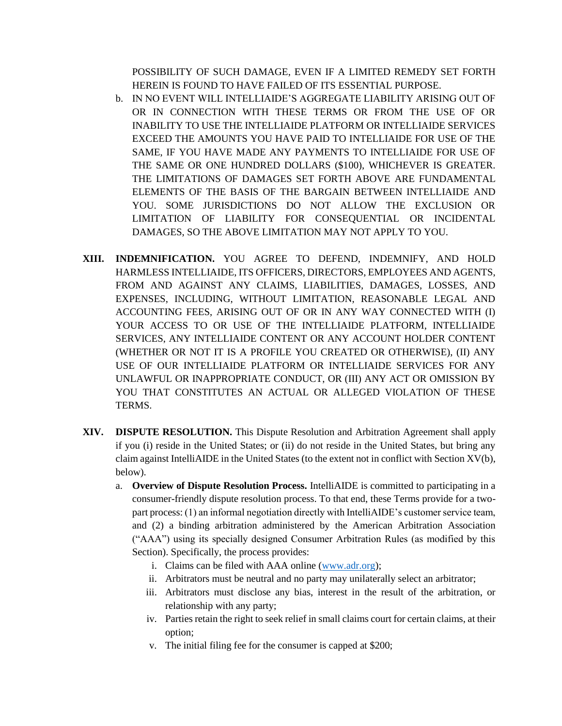POSSIBILITY OF SUCH DAMAGE, EVEN IF A LIMITED REMEDY SET FORTH HEREIN IS FOUND TO HAVE FAILED OF ITS ESSENTIAL PURPOSE.

- b. IN NO EVENT WILL INTELLIAIDE'S AGGREGATE LIABILITY ARISING OUT OF OR IN CONNECTION WITH THESE TERMS OR FROM THE USE OF OR INABILITY TO USE THE INTELLIAIDE PLATFORM OR INTELLIAIDE SERVICES EXCEED THE AMOUNTS YOU HAVE PAID TO INTELLIAIDE FOR USE OF THE SAME, IF YOU HAVE MADE ANY PAYMENTS TO INTELLIAIDE FOR USE OF THE SAME OR ONE HUNDRED DOLLARS (\$100), WHICHEVER IS GREATER. THE LIMITATIONS OF DAMAGES SET FORTH ABOVE ARE FUNDAMENTAL ELEMENTS OF THE BASIS OF THE BARGAIN BETWEEN INTELLIAIDE AND YOU. SOME JURISDICTIONS DO NOT ALLOW THE EXCLUSION OR LIMITATION OF LIABILITY FOR CONSEQUENTIAL OR INCIDENTAL DAMAGES, SO THE ABOVE LIMITATION MAY NOT APPLY TO YOU.
- **XIII. INDEMNIFICATION.** YOU AGREE TO DEFEND, INDEMNIFY, AND HOLD HARMLESS INTELLIAIDE, ITS OFFICERS, DIRECTORS, EMPLOYEES AND AGENTS, FROM AND AGAINST ANY CLAIMS, LIABILITIES, DAMAGES, LOSSES, AND EXPENSES, INCLUDING, WITHOUT LIMITATION, REASONABLE LEGAL AND ACCOUNTING FEES, ARISING OUT OF OR IN ANY WAY CONNECTED WITH (I) YOUR ACCESS TO OR USE OF THE INTELLIAIDE PLATFORM, INTELLIAIDE SERVICES, ANY INTELLIAIDE CONTENT OR ANY ACCOUNT HOLDER CONTENT (WHETHER OR NOT IT IS A PROFILE YOU CREATED OR OTHERWISE), (II) ANY USE OF OUR INTELLIAIDE PLATFORM OR INTELLIAIDE SERVICES FOR ANY UNLAWFUL OR INAPPROPRIATE CONDUCT, OR (III) ANY ACT OR OMISSION BY YOU THAT CONSTITUTES AN ACTUAL OR ALLEGED VIOLATION OF THESE TERMS.
- **XIV. DISPUTE RESOLUTION.** This Dispute Resolution and Arbitration Agreement shall apply if you (i) reside in the United States; or (ii) do not reside in the United States, but bring any claim against IntelliAIDE in the United States (to the extent not in conflict with Section XV(b), below).
	- a. **Overview of Dispute Resolution Process.** IntelliAIDE is committed to participating in a consumer-friendly dispute resolution process. To that end, these Terms provide for a twopart process: (1) an informal negotiation directly with IntelliAIDE's customer service team, and (2) a binding arbitration administered by the American Arbitration Association ("AAA") using its specially designed Consumer Arbitration Rules (as modified by this Section). Specifically, the process provides:
		- i. Claims can be filed with AAA online [\(www.adr.org\)](http://www.adr.org/);
		- ii. Arbitrators must be neutral and no party may unilaterally select an arbitrator;
		- iii. Arbitrators must disclose any bias, interest in the result of the arbitration, or relationship with any party;
		- iv. Parties retain the right to seek relief in small claims court for certain claims, at their option;
		- v. The initial filing fee for the consumer is capped at \$200;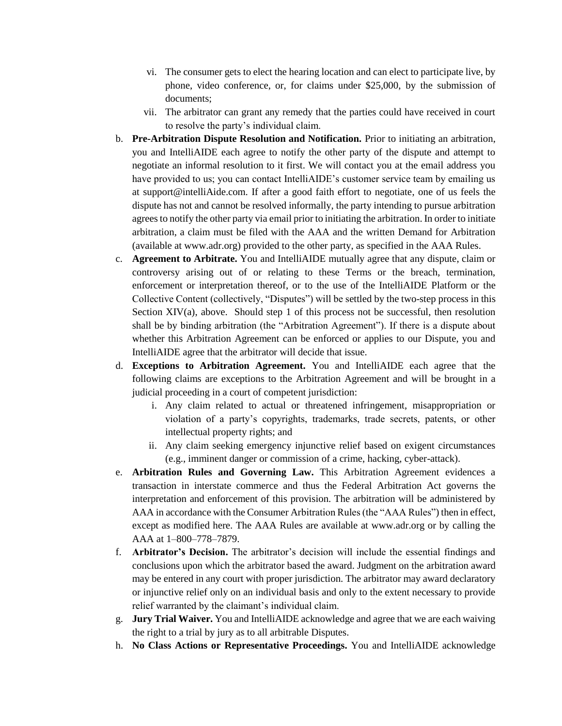- vi. The consumer gets to elect the hearing location and can elect to participate live, by phone, video conference, or, for claims under \$25,000, by the submission of documents;
- vii. The arbitrator can grant any remedy that the parties could have received in court to resolve the party's individual claim.
- b. **Pre-Arbitration Dispute Resolution and Notification.** Prior to initiating an arbitration, you and IntelliAIDE each agree to notify the other party of the dispute and attempt to negotiate an informal resolution to it first. We will contact you at the email address you have provided to us; you can contact IntelliAIDE's customer service team by emailing us at support@intelliAide.com. If after a good faith effort to negotiate, one of us feels the dispute has not and cannot be resolved informally, the party intending to pursue arbitration agrees to notify the other party via email prior to initiating the arbitration. In order to initiate arbitration, a claim must be filed with the AAA and the written Demand for Arbitration (available at www.adr.org) provided to the other party, as specified in the AAA Rules.
- c. **Agreement to Arbitrate.** You and IntelliAIDE mutually agree that any dispute, claim or controversy arising out of or relating to these Terms or the breach, termination, enforcement or interpretation thereof, or to the use of the IntelliAIDE Platform or the Collective Content (collectively, "Disputes") will be settled by the two-step process in this Section  $XIV(a)$ , above. Should step 1 of this process not be successful, then resolution shall be by binding arbitration (the "Arbitration Agreement"). If there is a dispute about whether this Arbitration Agreement can be enforced or applies to our Dispute, you and IntelliAIDE agree that the arbitrator will decide that issue.
- d. **Exceptions to Arbitration Agreement.** You and IntelliAIDE each agree that the following claims are exceptions to the Arbitration Agreement and will be brought in a judicial proceeding in a court of competent jurisdiction:
	- i. Any claim related to actual or threatened infringement, misappropriation or violation of a party's copyrights, trademarks, trade secrets, patents, or other intellectual property rights; and
	- ii. Any claim seeking emergency injunctive relief based on exigent circumstances (e.g., imminent danger or commission of a crime, hacking, cyber-attack).
- e. **Arbitration Rules and Governing Law.** This Arbitration Agreement evidences a transaction in interstate commerce and thus the Federal Arbitration Act governs the interpretation and enforcement of this provision. The arbitration will be administered by AAA in accordance with the Consumer Arbitration Rules (the "AAA Rules") then in effect, except as modified here. The AAA Rules are available at www.adr.org or by calling the AAA at 1–800–778–7879.
- f. **Arbitrator's Decision.** The arbitrator's decision will include the essential findings and conclusions upon which the arbitrator based the award. Judgment on the arbitration award may be entered in any court with proper jurisdiction. The arbitrator may award declaratory or injunctive relief only on an individual basis and only to the extent necessary to provide relief warranted by the claimant's individual claim.
- g. **Jury Trial Waiver.** You and IntelliAIDE acknowledge and agree that we are each waiving the right to a trial by jury as to all arbitrable Disputes.
- h. **No Class Actions or Representative Proceedings.** You and IntelliAIDE acknowledge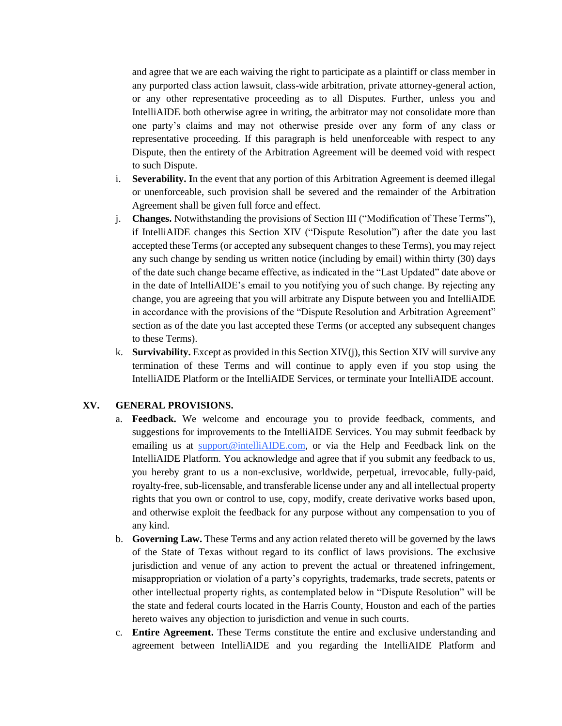and agree that we are each waiving the right to participate as a plaintiff or class member in any purported class action lawsuit, class-wide arbitration, private attorney-general action, or any other representative proceeding as to all Disputes. Further, unless you and IntelliAIDE both otherwise agree in writing, the arbitrator may not consolidate more than one party's claims and may not otherwise preside over any form of any class or representative proceeding. If this paragraph is held unenforceable with respect to any Dispute, then the entirety of the Arbitration Agreement will be deemed void with respect to such Dispute.

- i. **Severability. I**n the event that any portion of this Arbitration Agreement is deemed illegal or unenforceable, such provision shall be severed and the remainder of the Arbitration Agreement shall be given full force and effect.
- j. **Changes.** Notwithstanding the provisions of Section III ("Modification of These Terms"), if IntelliAIDE changes this Section XIV ("Dispute Resolution") after the date you last accepted these Terms (or accepted any subsequent changes to these Terms), you may reject any such change by sending us written notice (including by email) within thirty (30) days of the date such change became effective, as indicated in the "Last Updated" date above or in the date of IntelliAIDE's email to you notifying you of such change. By rejecting any change, you are agreeing that you will arbitrate any Dispute between you and IntelliAIDE in accordance with the provisions of the "Dispute Resolution and Arbitration Agreement" section as of the date you last accepted these Terms (or accepted any subsequent changes to these Terms).
- k. **Survivability.** Except as provided in this Section XIV(j), this Section XIV will survive any termination of these Terms and will continue to apply even if you stop using the IntelliAIDE Platform or the IntelliAIDE Services, or terminate your IntelliAIDE account.

### **XV. GENERAL PROVISIONS.**

- a. **Feedback.** We welcome and encourage you to provide feedback, comments, and suggestions for improvements to the IntelliAIDE Services. You may submit feedback by emailing us at  $\frac{\text{support@intelliAIDE.com}}{\text{output@intelliAIDE.com}}$ , or via the Help and Feedback link on the IntelliAIDE Platform. You acknowledge and agree that if you submit any feedback to us, you hereby grant to us a non-exclusive, worldwide, perpetual, irrevocable, fully-paid, royalty-free, sub-licensable, and transferable license under any and all intellectual property rights that you own or control to use, copy, modify, create derivative works based upon, and otherwise exploit the feedback for any purpose without any compensation to you of any kind.
- b. **Governing Law.** These Terms and any action related thereto will be governed by the laws of the State of Texas without regard to its conflict of laws provisions. The exclusive jurisdiction and venue of any action to prevent the actual or threatened infringement, misappropriation or violation of a party's copyrights, trademarks, trade secrets, patents or other intellectual property rights, as contemplated below in "Dispute Resolution" will be the state and federal courts located in the Harris County, Houston and each of the parties hereto waives any objection to jurisdiction and venue in such courts.
- c. **Entire Agreement.** These Terms constitute the entire and exclusive understanding and agreement between IntelliAIDE and you regarding the IntelliAIDE Platform and